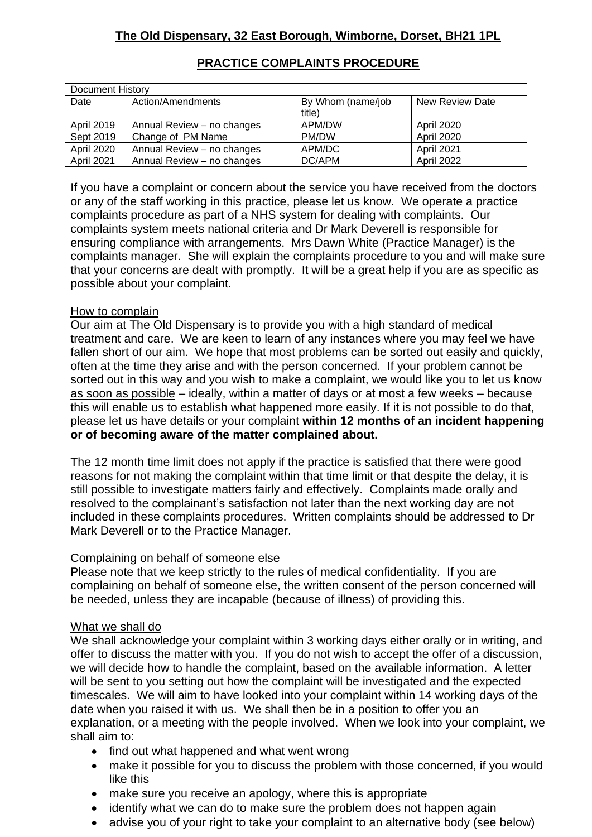| Document History  |                            |                   |                   |
|-------------------|----------------------------|-------------------|-------------------|
| Date              | Action/Amendments          | By Whom (name/job | New Review Date   |
|                   |                            | title)            |                   |
| <b>April 2019</b> | Annual Review - no changes | APM/DW            | <b>April 2020</b> |
| Sept 2019         | Change of PM Name          | PM/DW             | April 2020        |
| <b>April 2020</b> | Annual Review - no changes | APM/DC            | <b>April 2021</b> |
| <b>April 2021</b> | Annual Review – no changes | DC/APM            | <b>April 2022</b> |

## **PRACTICE COMPLAINTS PROCEDURE**

If you have a complaint or concern about the service you have received from the doctors or any of the staff working in this practice, please let us know. We operate a practice complaints procedure as part of a NHS system for dealing with complaints. Our complaints system meets national criteria and Dr Mark Deverell is responsible for ensuring compliance with arrangements. Mrs Dawn White (Practice Manager) is the complaints manager. She will explain the complaints procedure to you and will make sure that your concerns are dealt with promptly. It will be a great help if you are as specific as possible about your complaint.

## How to complain

Our aim at The Old Dispensary is to provide you with a high standard of medical treatment and care. We are keen to learn of any instances where you may feel we have fallen short of our aim. We hope that most problems can be sorted out easily and quickly, often at the time they arise and with the person concerned. If your problem cannot be sorted out in this way and you wish to make a complaint, we would like you to let us know as soon as possible – ideally, within a matter of days or at most a few weeks – because this will enable us to establish what happened more easily. If it is not possible to do that, please let us have details or your complaint **within 12 months of an incident happening or of becoming aware of the matter complained about.**

The 12 month time limit does not apply if the practice is satisfied that there were good reasons for not making the complaint within that time limit or that despite the delay, it is still possible to investigate matters fairly and effectively. Complaints made orally and resolved to the complainant's satisfaction not later than the next working day are not included in these complaints procedures. Written complaints should be addressed to Dr Mark Deverell or to the Practice Manager.

## Complaining on behalf of someone else

Please note that we keep strictly to the rules of medical confidentiality. If you are complaining on behalf of someone else, the written consent of the person concerned will be needed, unless they are incapable (because of illness) of providing this.

## What we shall do

We shall acknowledge your complaint within 3 working days either orally or in writing, and offer to discuss the matter with you. If you do not wish to accept the offer of a discussion, we will decide how to handle the complaint, based on the available information. A letter will be sent to you setting out how the complaint will be investigated and the expected timescales. We will aim to have looked into your complaint within 14 working days of the date when you raised it with us. We shall then be in a position to offer you an explanation, or a meeting with the people involved. When we look into your complaint, we shall aim to:

- find out what happened and what went wrong
- make it possible for you to discuss the problem with those concerned, if you would like this
- make sure you receive an apology, where this is appropriate
- identify what we can do to make sure the problem does not happen again
- advise you of your right to take your complaint to an alternative body (see below)